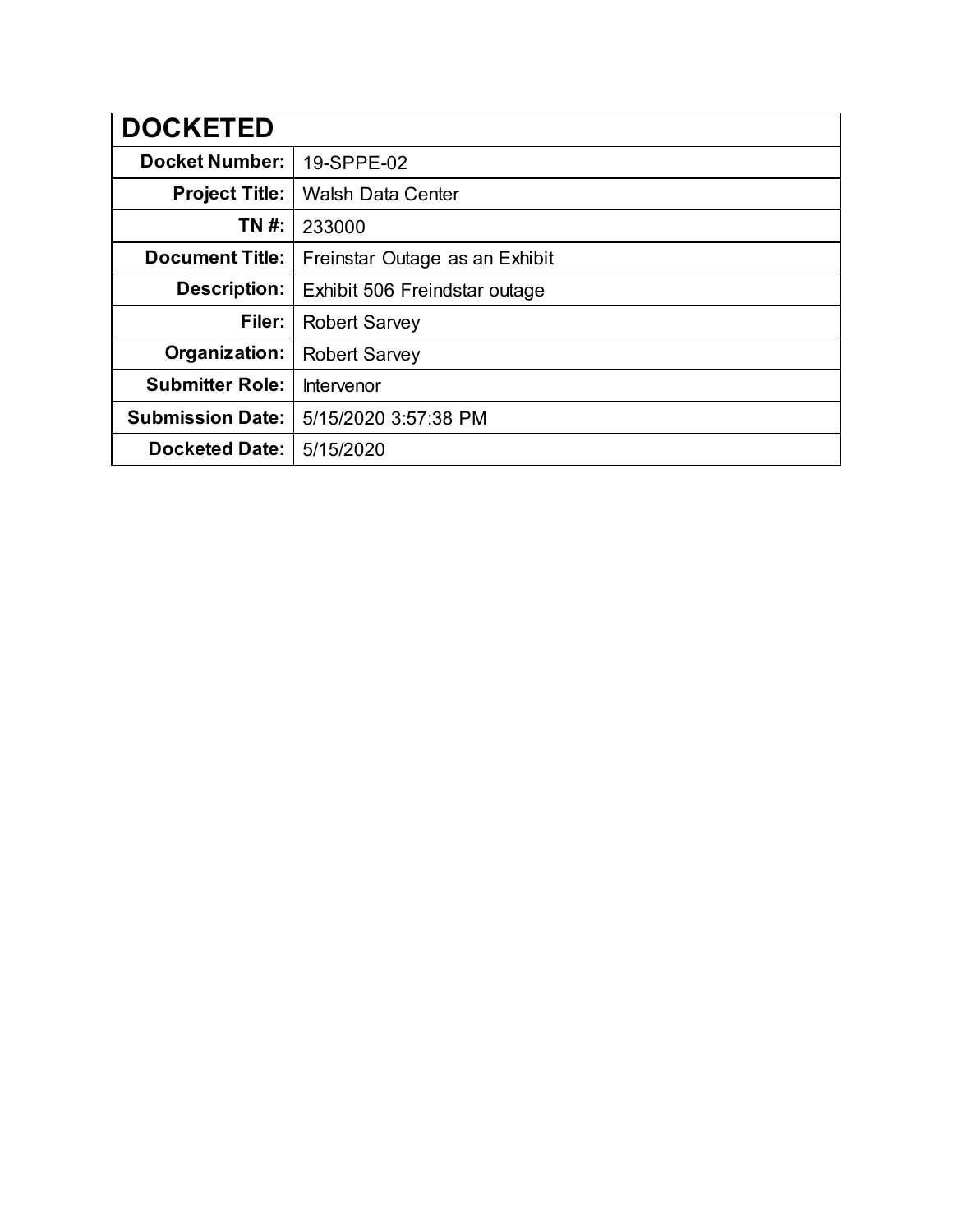| <b>DOCKETED</b>         |                                |
|-------------------------|--------------------------------|
| <b>Docket Number:</b>   | 19-SPPE-02                     |
| <b>Project Title:</b>   | <b>Walsh Data Center</b>       |
| TN #:                   | 233000                         |
| <b>Document Title:</b>  | Freinstar Outage as an Exhibit |
| <b>Description:</b>     | Exhibit 506 Freindstar outage  |
| Filer:                  | <b>Robert Sarvey</b>           |
| Organization:           | <b>Robert Sarvey</b>           |
| <b>Submitter Role:</b>  | Intervenor                     |
| <b>Submission Date:</b> | 5/15/2020 3:57:38 PM           |
| <b>Docketed Date:</b>   | 5/15/2020                      |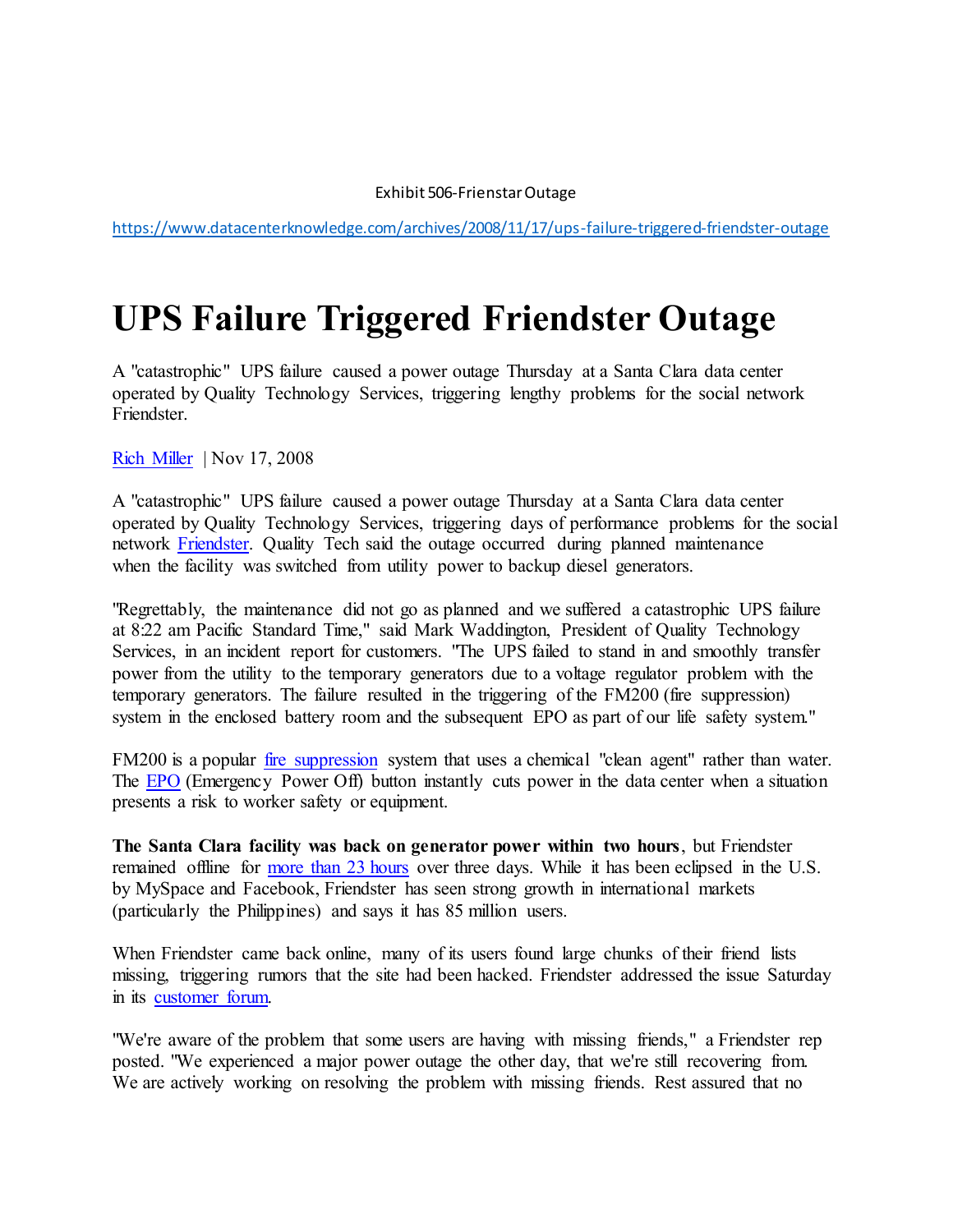## Exhibit 506-Frienstar Outage

<https://www.datacenterknowledge.com/archives/2008/11/17/ups-failure-triggered-friendster-outage>

## **UPS Failure Triggered Friendster Outage**

A "catastrophic" UPS failure caused a power outage Thursday at a Santa Clara data center operated by Quality Technology Services, triggering lengthy problems for the social network Friendster.

[Rich Miller](https://www.datacenterknowledge.com/archives/author/rich-miller) | Nov 17, 2008

A "catastrophic" UPS failure caused a power outage Thursday at a Santa Clara data center operated by Quality Technology Services, triggering days of performance problems for the social network [Friendster.](http://www.friendster.com/) Quality Tech said the outage occurred during planned maintenance when the facility was switched from utility power to backup diesel generators.

"Regrettably, the maintenance did not go as planned and we suffered a catastrophic UPS failure at 8:22 am Pacific Standard Time," said Mark Waddington, President of Quality Technology Services, in an incident report for customers. "The UPS failed to stand in and smoothly transfer power from the utility to the temporary generators due to a voltage regulator problem with the temporary generators. The failure resulted in the triggering of the FM200 (fire suppression) system in the enclosed battery room and the subsequent EPO as part of our life safety system."

FM200 is a popular *fire suppression* system that uses a chemical "clean agent" rather than water. The [EPO](http://www.datacenterknowledge.com/archives/2007/05/07/averting-disaster-with-the-epo-button/) (Emergency Power Off) button instantly cuts power in the data center when a situation presents a risk to worker safety or equipment.

**The Santa Clara facility was back on generator power within two hours**, but Friendster remained offline for [more than 23 hours](http://royal.pingdom.com/2008/11/14/massive-downtime-for-friendster-today-and-yesterday/) over three days. While it has been eclipsed in the U.S. by MySpace and Facebook, Friendster has seen strong growth in international markets (particularly the Philippines) and says it has 85 million users.

When Friendster came back online, many of its users found large chunks of their friend lists missing, triggering rumors that the site had been hacked. Friendster addressed the issue Saturday in its [customer forum.](http://www.friendster.com/forums/post/list/10/345)

"We're aware of the problem that some users are having with missing friends," a Friendster rep posted. "We experienced a major power outage the other day, that we're still recovering from. We are actively working on resolving the problem with missing friends. Rest assured that no